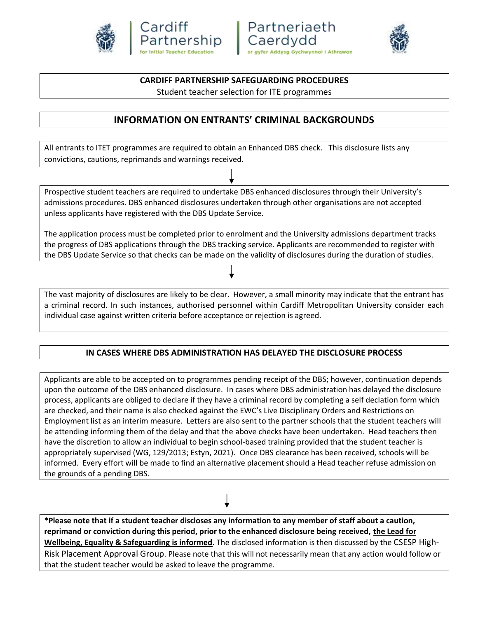





#### **CARDIFF PARTNERSHIP SAFEGUARDING PROCEDURES**

Student teacher selection for ITE programmes

# **INFORMATION ON ENTRANTS' CRIMINAL BACKGROUNDS**

All entrants to ITET programmes are required to obtain an Enhanced DBS check. This disclosure lists any convictions, cautions, reprimands and warnings received.

Prospective student teachers are required to undertake DBS enhanced disclosures through their University's admissions procedures. DBS enhanced disclosures undertaken through other organisations are not accepted unless applicants have registered with the DBS Update Service.

The application process must be completed prior to enrolment and the University admissions department tracks the progress of DBS applications through the DBS tracking service. Applicants are recommended to register with the DBS Update Service so that checks can be made on the validity of disclosures during the duration of studies.

The vast majority of disclosures are likely to be clear. However, a small minority may indicate that the entrant has a criminal record. In such instances, authorised personnel within Cardiff Metropolitan University consider each individual case against written criteria before acceptance or rejection is agreed.

#### **IN CASES WHERE DBS ADMINISTRATION HAS DELAYED THE DISCLOSURE PROCESS**

Applicants are able to be accepted on to programmes pending receipt of the DBS; however, continuation depends upon the outcome of the DBS enhanced disclosure. In cases where DBS administration has delayed the disclosure process, applicants are obliged to declare if they have a criminal record by completing a self declation form which are checked, and their name is also checked against the EWC's Live Disciplinary Orders and Restrictions on Employment list as an interim measure. Letters are also sent to the partner schools that the student teachers will be attending informing them of the delay and that the above checks have been undertaken. Head teachers then have the discretion to allow an individual to begin school-based training provided that the student teacher is appropriately supervised (WG, 129/2013; Estyn, 2021). Once DBS clearance has been received, schools will be informed. Every effort will be made to find an alternative placement should a Head teacher refuse admission on the grounds of a pending DBS.